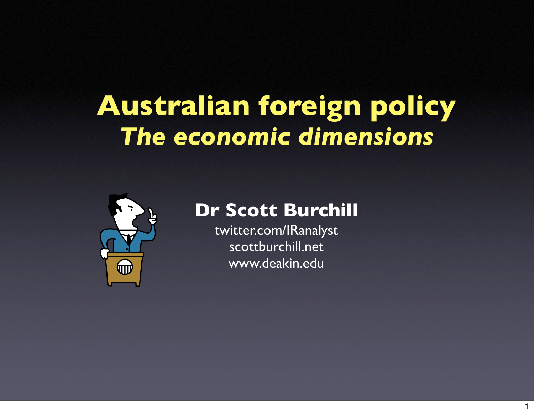# **Australian foreign policy** *The economic dimensions*



#### **Dr Scott Burchill**

twitter.com/IRanalyst scottburchill.net www.deakin.edu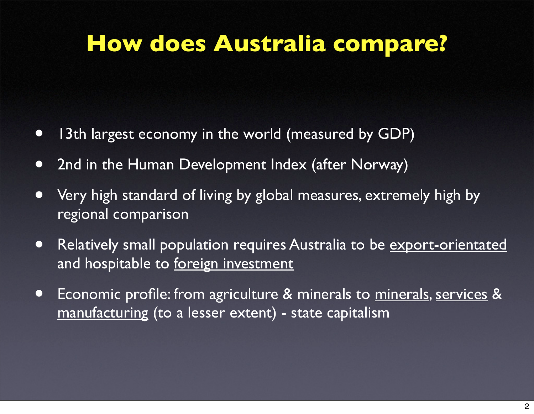# **How does Australia compare?**

- 13th largest economy in the world (measured by GDP)
- 2nd in the Human Development Index (after Norway)
- Very high standard of living by global measures, extremely high by regional comparison
- Relatively small population requires Australia to be export-orientated and hospitable to foreign investment
- Economic profile: from agriculture & minerals to minerals, services & manufacturing (to a lesser extent) - state capitalism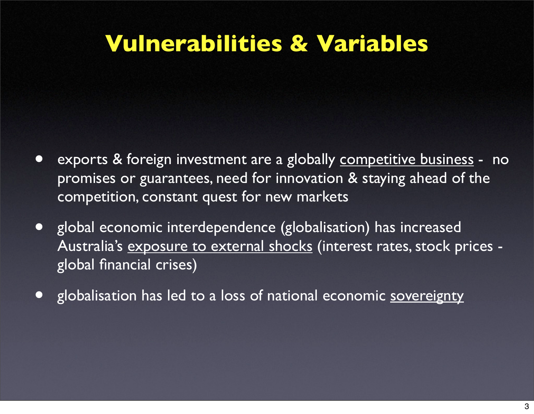## **Vulnerabilities & Variables**

- exports & foreign investment are a globally competitive business no promises or guarantees, need for innovation & staying ahead of the competition, constant quest for new markets
- global economic interdependence (globalisation) has increased Australia's exposure to external shocks (interest rates, stock prices global financial crises)
- globalisation has led to a loss of national economic sovereignty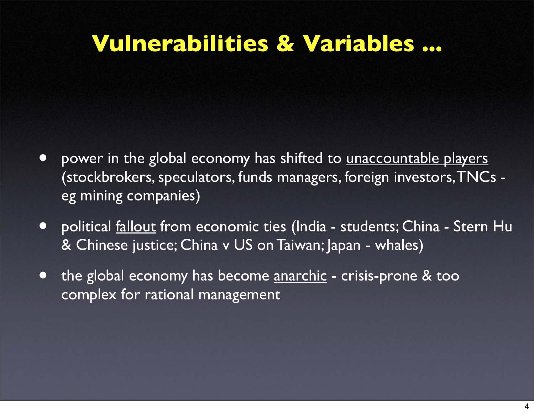## **Vulnerabilities & Variables ...**

- power in the global economy has shifted to unaccountable players (stockbrokers, speculators, funds managers, foreign investors, TNCs eg mining companies)
- political <u>fallout</u> from economic ties (India students; China Stern Hu & Chinese justice; China v US on Taiwan; Japan - whales)
- the global economy has become anarchic crisis-prone & too complex for rational management